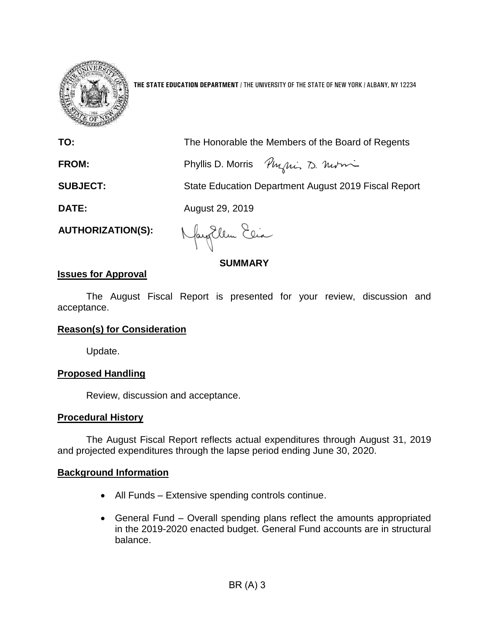

**THE STATE EDUCATION DEPARTMENT** / THE UNIVERSITY OF THE STATE OF NEW YORK / ALBANY, NY 12234

**TO:** The Honorable the Members of the Board of Regents

**FROM:** Phyllis D. Morris Phylis 20. Notion

**SUBJECT:** State Education Department August 2019 Fiscal Report

**DATE:** August 29, 2019

**AUTHORIZATION(S):**

Nagollem Elia

**SUMMARY**

# **Issues for Approval**

The August Fiscal Report is presented for your review, discussion and acceptance.

# **Reason(s) for Consideration**

Update.

# **Proposed Handling**

Review, discussion and acceptance.

# **Procedural History**

The August Fiscal Report reflects actual expenditures through August 31, 2019 and projected expenditures through the lapse period ending June 30, 2020.

# **Background Information**

- All Funds Extensive spending controls continue.
- General Fund Overall spending plans reflect the amounts appropriated in the 2019-2020 enacted budget. General Fund accounts are in structural balance.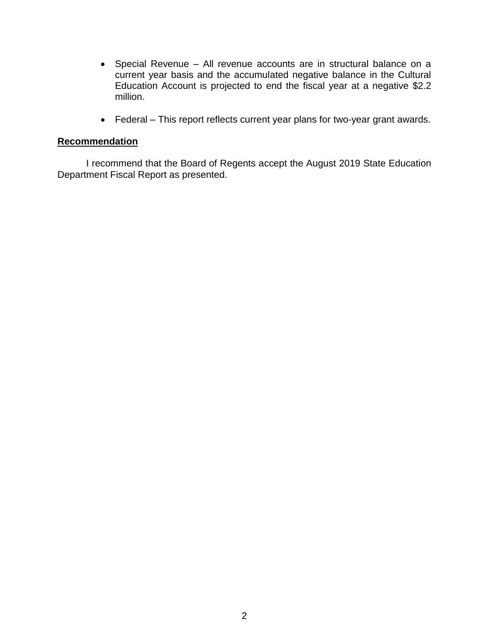- Special Revenue All revenue accounts are in structural balance on a current year basis and the accumulated negative balance in the Cultural Education Account is projected to end the fiscal year at a negative \$2.2 million.
- Federal This report reflects current year plans for two-year grant awards.

# **Recommendation**

I recommend that the Board of Regents accept the August 2019 State Education Department Fiscal Report as presented.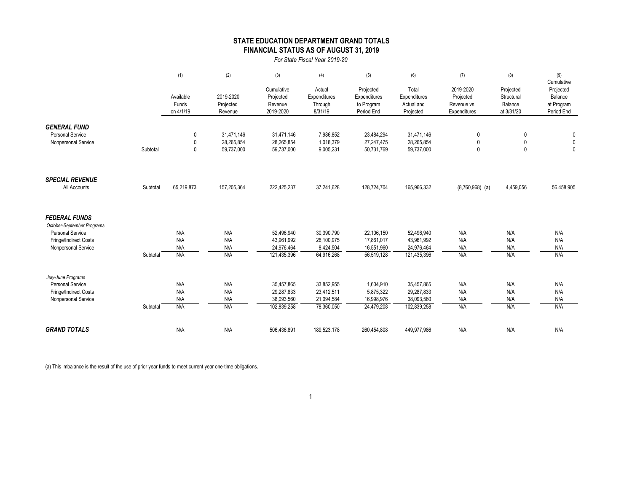### **STATE EDUCATION DEPARTMENT GRAND TOTALS FINANCIAL STATUS AS OF AUGUST 31, 2019**

*For State Fiscal Year 2019-20*

|                            |          | (1)                          | (2)         | (3)         | (4)          | (5)          | (6)          | (7)               | (8)               | (9)                         |
|----------------------------|----------|------------------------------|-------------|-------------|--------------|--------------|--------------|-------------------|-------------------|-----------------------------|
|                            |          |                              |             |             |              |              |              |                   |                   | Cumulative                  |
|                            |          |                              |             | Cumulative  | Actual       | Projected    | Total        | 2019-2020         | Projected         | Projected                   |
|                            |          | Available                    | 2019-2020   | Projected   | Expenditures | Expenditures | Expenditures | Projected         | Structural        | Balance                     |
|                            |          | Funds                        | Projected   | Revenue     | Through      | to Program   | Actual and   | Revenue vs.       | Balance           | at Program                  |
|                            |          | on 4/1/19                    | Revenue     | 2019-2020   | 8/31/19      | Period End   | Projected    | Expenditures      | at 3/31/20        | Period End                  |
|                            |          |                              |             |             |              |              |              |                   |                   |                             |
| <b>GENERAL FUND</b>        |          |                              |             |             |              |              |              |                   |                   |                             |
| <b>Personal Service</b>    |          | 0                            | 31,471,146  | 31,471,146  | 7,986,852    | 23,484,294   | 31,471,146   | 0                 | 0                 | 0                           |
| Nonpersonal Service        |          | $\mathbf{0}$<br>$\mathbf{0}$ | 28,265,854  | 28,265,854  | 1,018,379    | 27,247,475   | 28,265,854   | 0<br>$\mathbf{0}$ | 0<br>$\mathbf{0}$ | $\mathbf 0$<br>$\mathbf{0}$ |
|                            | Subtotal |                              | 59,737,000  | 59,737,000  | 9,005,231    | 50,731,769   | 59,737,000   |                   |                   |                             |
|                            |          |                              |             |             |              |              |              |                   |                   |                             |
| <b>SPECIAL REVENUE</b>     |          |                              |             |             |              |              |              |                   |                   |                             |
| All Accounts               | Subtotal | 65,219,873                   | 157,205,364 | 222,425,237 | 37,241,628   | 128,724,704  | 165,966,332  | $(8,760,968)$ (a) | 4,459,056         | 56,458,905                  |
|                            |          |                              |             |             |              |              |              |                   |                   |                             |
| <b>FEDERAL FUNDS</b>       |          |                              |             |             |              |              |              |                   |                   |                             |
| October-September Programs |          |                              |             |             |              |              |              |                   |                   |                             |
| <b>Personal Service</b>    |          | N/A                          | N/A         | 52,496,940  | 30,390,790   | 22,106,150   | 52,496,940   | N/A               | N/A               | N/A                         |
| Fringe/Indirect Costs      |          | N/A                          | N/A         | 43,961,992  | 26,100,975   | 17,861,017   | 43,961,992   | N/A               | N/A               | N/A                         |
| Nonpersonal Service        |          | N/A                          | N/A         | 24,976,464  | 8,424,504    | 16,551,960   | 24,976,464   | N/A               | N/A               | N/A                         |
|                            | Subtotal | N/A                          | N/A         | 121,435,396 | 64,916,268   | 56,519,128   | 121,435,396  | N/A               | N/A               | N/A                         |
| July-June Programs         |          |                              |             |             |              |              |              |                   |                   |                             |
| <b>Personal Service</b>    |          | N/A                          | N/A         | 35.457.865  | 33,852,955   | 1,604,910    | 35,457,865   | N/A               | N/A               | N/A                         |
| Fringe/Indirect Costs      |          | N/A                          | N/A         | 29,287,833  | 23,412,511   | 5,875,322    | 29,287,833   | N/A               | N/A               | N/A                         |
| Nonpersonal Service        |          | N/A                          | N/A         | 38,093,560  | 21,094,584   | 16,998,976   | 38,093,560   | N/A               | N/A               | N/A                         |
|                            | Subtotal | N/A                          | N/A         | 102,839,258 | 78,360,050   | 24,479,208   | 102,839,258  | N/A               | N/A               | N/A                         |
|                            |          |                              |             |             |              |              |              |                   |                   |                             |
| <b>GRAND TOTALS</b>        |          | N/A                          | N/A         | 506,436,891 | 189,523,178  | 260,454,808  | 449,977,986  | N/A               | N/A               | N/A                         |

(a) This imbalance is the result of the use of prior year funds to meet current year one-time obligations.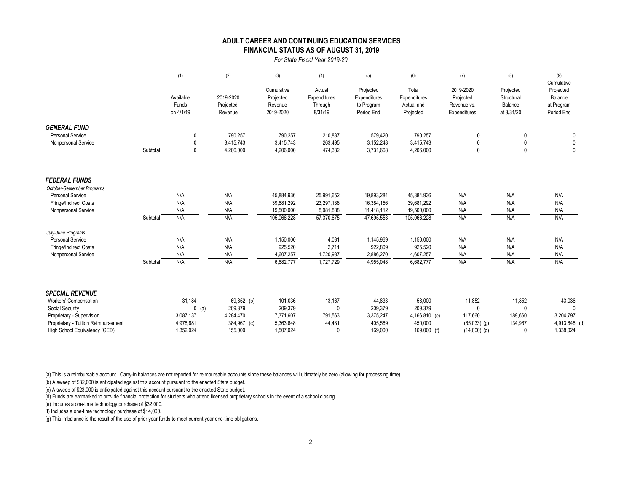### **FINANCIAL STATUS AS OF AUGUST 31, 2019 ADULT CAREER AND CONTINUING EDUCATION SERVICES**

#### *For State Fiscal Year 2019-20*

|                                                       |          | (1)                             | (2)                               | (3)                                             | (4)                                          | (5)                                                   | (6)                                              | (7)                                                   | (8)                                              | (9)<br>Cumulative                                |
|-------------------------------------------------------|----------|---------------------------------|-----------------------------------|-------------------------------------------------|----------------------------------------------|-------------------------------------------------------|--------------------------------------------------|-------------------------------------------------------|--------------------------------------------------|--------------------------------------------------|
|                                                       |          | Available<br>Funds<br>on 4/1/19 | 2019-2020<br>Projected<br>Revenue | Cumulative<br>Projected<br>Revenue<br>2019-2020 | Actual<br>Expenditures<br>Through<br>8/31/19 | Projected<br>Expenditures<br>to Program<br>Period End | Total<br>Expenditures<br>Actual and<br>Projected | 2019-2020<br>Projected<br>Revenue vs.<br>Expenditures | Projected<br>Structural<br>Balance<br>at 3/31/20 | Projected<br>Balance<br>at Program<br>Period End |
| <b>GENERAL FUND</b>                                   |          |                                 |                                   |                                                 |                                              |                                                       |                                                  |                                                       |                                                  |                                                  |
| <b>Personal Service</b>                               |          | 0                               | 790,257                           | 790,257                                         | 210,837                                      | 579,420                                               | 790,257                                          |                                                       |                                                  | 0                                                |
| Nonpersonal Service                                   |          | $\mathbf{0}$                    | 3,415,743                         | 3,415,743                                       | 263,495                                      | 3,152,248                                             | 3,415,743                                        | $\Omega$                                              |                                                  | 0                                                |
|                                                       | Subtotal | $\Omega$                        | 4,206,000                         | 4,206,000                                       | 474,332                                      | 3,731,668                                             | 4,206,000                                        | $\Omega$                                              | $\Omega$                                         | $\Omega$                                         |
| <b>FEDERAL FUNDS</b>                                  |          |                                 |                                   |                                                 |                                              |                                                       |                                                  |                                                       |                                                  |                                                  |
| October-September Programs<br><b>Personal Service</b> |          | N/A                             | N/A                               | 45,884,936                                      | 25,991,652                                   | 19,893,284                                            | 45,884,936                                       | N/A                                                   | N/A                                              | N/A                                              |
| Fringe/Indirect Costs                                 |          | N/A                             | N/A                               | 39,681,292                                      | 23,297,136                                   | 16,384,156                                            | 39,681,292                                       | N/A                                                   | N/A                                              | N/A                                              |
| Nonpersonal Service                                   |          | N/A                             | N/A                               | 19,500,000                                      | 8,081,888                                    | 11,418,112                                            | 19,500,000                                       | N/A                                                   | N/A                                              | N/A                                              |
|                                                       | Subtotal | N/A                             | N/A                               | 105,066,228                                     | 57,370,675                                   | 47,695,553                                            | 105,066,228                                      | N/A                                                   | N/A                                              | N/A                                              |
| July-June Programs                                    |          |                                 |                                   |                                                 |                                              |                                                       |                                                  |                                                       |                                                  |                                                  |
| <b>Personal Service</b>                               |          | N/A                             | N/A                               | 1,150,000                                       | 4,031                                        | 1,145,969                                             | 1,150,000                                        | N/A                                                   | N/A                                              | N/A                                              |
| Fringe/Indirect Costs                                 |          | N/A                             | N/A                               | 925,520                                         | 2,711                                        | 922,809                                               | 925,520                                          | N/A                                                   | N/A                                              | N/A                                              |
| Nonpersonal Service                                   |          | N/A                             | N/A                               | 4,607,257                                       | 1,720,987                                    | 2,886,270                                             | 4,607,257                                        | N/A                                                   | N/A                                              | N/A                                              |
|                                                       | Subtotal | N/A                             | N/A                               | 6,682,777                                       | 1,727,729                                    | 4,955,048                                             | 6,682,777                                        | N/A                                                   | N/A                                              | N/A                                              |
| <b>SPECIAL REVENUE</b>                                |          |                                 |                                   |                                                 |                                              |                                                       |                                                  |                                                       |                                                  |                                                  |
| Workers' Compensation                                 |          | 31,184                          | 69,852 (b)                        | 101,036                                         | 13,167                                       | 44,833                                                | 58,000                                           | 11,852                                                | 11,852                                           | 43,036                                           |
| Social Security                                       |          | $0$ (a)                         | 209,379                           | 209,379                                         | 0                                            | 209,379                                               | 209,379                                          | <sup>0</sup>                                          | $\Omega$                                         |                                                  |
| Proprietary - Supervision                             |          | 3,087,137                       | 4,284,470                         | 7,371,607                                       | 791,563                                      | 3,375,247                                             | 4,166,810 (e)                                    | 117,660                                               | 189,660                                          | 3,204,797                                        |
| Proprietary - Tuition Reimbursement                   |          | 4,978,681                       | 384,967 (c)                       | 5,363,648                                       | 44,431                                       | 405,569                                               | 450,000                                          | $(65,033)$ (g)                                        | 134,967                                          | 4,913,648 (d)                                    |
| High School Equivalency (GED)                         |          | 1.352.024                       | 155.000                           | 1,507,024                                       | $\Omega$                                     | 169.000                                               | 169,000 (f)                                      | $(14,000)$ (g)                                        |                                                  | 1,338,024                                        |

(a) This is a reimbursable account. Carry-in balances are not reported for reimbursable accounts since these balances will ultimately be zero (allowing for processing time).

(b) A sweep of \$32,000 is anticipated against this account pursuant to the enacted State budget.

(c) A sweep of \$23,000 is anticipated against this account pursuant to the enacted State budget.

(d) Funds are earmarked to provide financial protection for students who attend licensed proprietary schools in the event of a school closing.

(e) Includes a one-time technology purchase of \$32,000.

(f) Includes a one-time technology purchase of \$14,000.

(g) This imbalance is the result of the use of prior year funds to meet current year one-time obligations.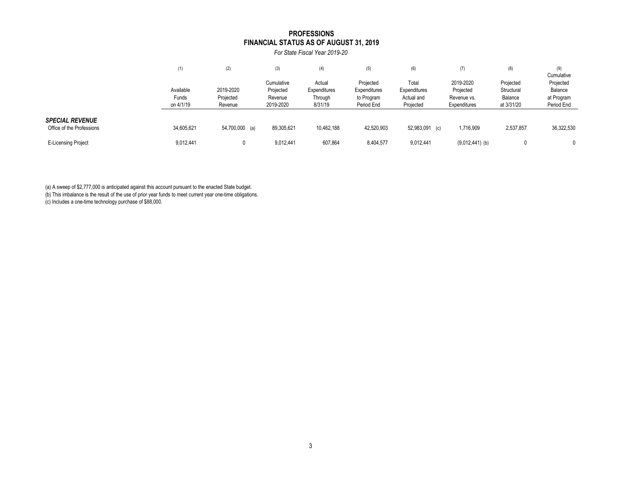#### **PROFESSIONS FINANCIAL STATUS AS OF AUGUST 31, 2019**

*For State Fiscal Year 2019-20*

|                                                     | (1)                             | (2)                               | (3)                                             | (4)                                          | (5)                                                   | (6)                                              | (7)                                                   | (8)                                              | (9)<br>Cumulative                                |
|-----------------------------------------------------|---------------------------------|-----------------------------------|-------------------------------------------------|----------------------------------------------|-------------------------------------------------------|--------------------------------------------------|-------------------------------------------------------|--------------------------------------------------|--------------------------------------------------|
|                                                     | Available<br>Funds<br>on 4/1/19 | 2019-2020<br>Projected<br>Revenue | Cumulative<br>Projected<br>Revenue<br>2019-2020 | Actual<br>Expenditures<br>Through<br>8/31/19 | Projected<br>Expenditures<br>to Program<br>Period End | Total<br>Expenditures<br>Actual and<br>Projected | 2019-2020<br>Projected<br>Revenue vs.<br>Expenditures | Projected<br>Structural<br>Balance<br>at 3/31/20 | Projected<br>Balance<br>at Program<br>Period End |
| <b>SPECIAL REVENUE</b><br>Office of the Professions | 34,605,621                      | 54,700,000 (a)                    | 89,305,621                                      | 10,462,188                                   | 42,520,903                                            | 52,983,091 (c)                                   | 1,716,909                                             | 2,537,857                                        | 36,322,530                                       |
| <b>E-Licensing Project</b>                          | 9,012,441                       |                                   | 9,012,441                                       | 607,864                                      | 8,404,577                                             | 9,012,441                                        | $(9,012,441)$ (b)                                     | 0                                                |                                                  |

(a) A sweep of \$2,777,000 is anticipated against this account pursuant to the enacted State budget.

(b) This imbalance is the result of the use of prior year funds to meet current year one-time obligations.

(c) Includes a one-time technology purchase of \$88,000.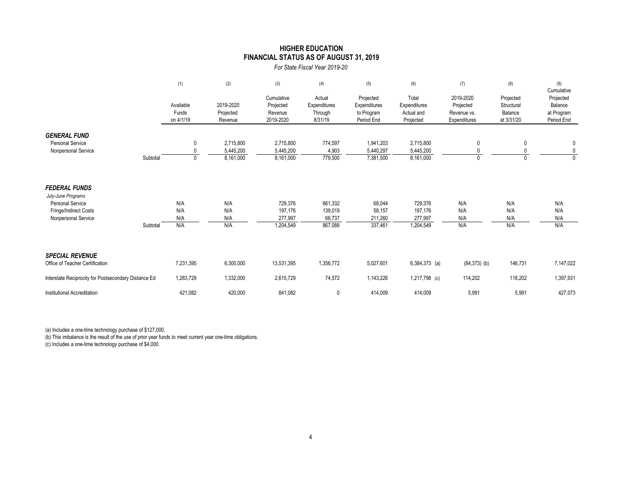### **FINANCIAL STATUS AS OF AUGUST 31, 2019 HIGHER EDUCATION**

*For State Fiscal Year 2019-20*

|                                                                                                                       |          | (1)                             | (2)                                 | (3)                                             | (4)                                          | (5)                                                   | (6)                                              | (7)                                                   | (8)                                              | (9)<br>Cumulative                                |
|-----------------------------------------------------------------------------------------------------------------------|----------|---------------------------------|-------------------------------------|-------------------------------------------------|----------------------------------------------|-------------------------------------------------------|--------------------------------------------------|-------------------------------------------------------|--------------------------------------------------|--------------------------------------------------|
|                                                                                                                       |          | Available<br>Funds<br>on 4/1/19 | 2019-2020<br>Projected<br>Revenue   | Cumulative<br>Projected<br>Revenue<br>2019-2020 | Actual<br>Expenditures<br>Through<br>8/31/19 | Projected<br>Expenditures<br>to Program<br>Period End | Total<br>Expenditures<br>Actual and<br>Projected | 2019-2020<br>Projected<br>Revenue vs.<br>Expenditures | Projected<br>Structural<br>Balance<br>at 3/31/20 | Projected<br>Balance<br>at Program<br>Period End |
| <b>GENERAL FUND</b><br><b>Personal Service</b><br>Nonpersonal Service                                                 | Subtotal | $\mathbf{0}$<br>$\Omega$        | 2,715,800<br>5,445,200<br>8,161,000 | 2,715,800<br>5,445,200<br>8,161,000             | 774,597<br>4,903<br>779,500                  | 1,941,203<br>5,440,297<br>7,381,500                   | 2,715,800<br>5,445,200<br>8,161,000              | 0<br>$\Omega$                                         | 0<br>0                                           | 0<br>0<br>$\Omega$                               |
| <b>FEDERAL FUNDS</b><br>July-June Programs<br><b>Personal Service</b><br>Fringe/Indirect Costs<br>Nonpersonal Service | Subtotal | N/A<br>N/A<br>N/A<br>N/A        | N/A<br>N/A<br>N/A<br>N/A            | 729,376<br>197,176<br>277,997<br>1,204,549      | 661,332<br>139,019<br>66,737<br>867,088      | 68,044<br>58,157<br>211,260<br>337,461                | 729,376<br>197,176<br>277,997<br>1,204,549       | N/A<br>N/A<br>N/A<br>N/A                              | N/A<br>N/A<br>N/A<br>N/A                         | N/A<br>N/A<br>N/A<br>N/A                         |
| <b>SPECIAL REVENUE</b><br>Office of Teacher Certification                                                             |          | 7,231,395                       | 6,300,000                           | 13,531,395                                      | 1,356,772                                    | 5,027,601                                             | $6,384,373$ (a)                                  | $(84, 373)$ (b)                                       | 146,731                                          | 7,147,022                                        |
| Interstate Reciprocity for Postsecondary Distance Ed                                                                  |          | 1,283,729                       | 1,332,000                           | 2,615,729                                       | 74,572                                       | 1,143,226                                             | 1,217,798 (c)                                    | 114,202                                               | 118,202                                          | 1,397,931                                        |
| Institutional Accreditation                                                                                           |          | 421,082                         | 420,000                             | 841,082                                         | 0                                            | 414,009                                               | 414,009                                          | 5,991                                                 | 5,991                                            | 427,073                                          |

(a) Includes a one-time technology purchase of \$127,000.

(b) This imbalance is the result of the use of prior year funds to meet current year one-time obligations.

(c) Includes a one-time technology purchase of \$4,000.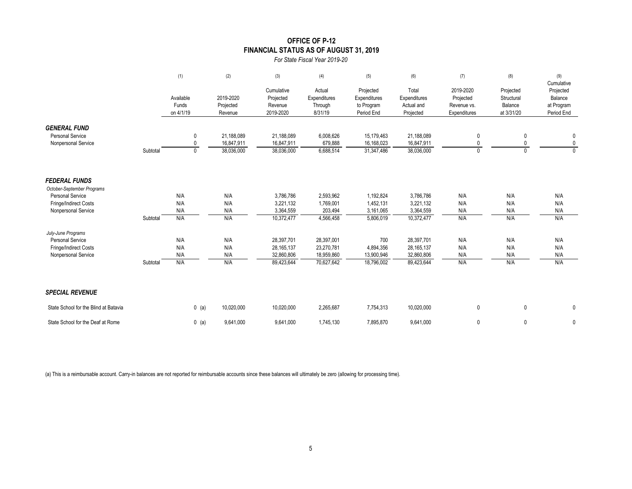### **OFFICE OF P-12 FINANCIAL STATUS AS OF AUGUST 31, 2019**

*For State Fiscal Year 2019-20*

|                                                                                               |          | (1)                             | (2)                                    | (3)                                                    | (4)                                                  | (5)                                                   | (6)                                                    | (7)                                                   | (8)                                              | (9)<br>Cumulative                                |
|-----------------------------------------------------------------------------------------------|----------|---------------------------------|----------------------------------------|--------------------------------------------------------|------------------------------------------------------|-------------------------------------------------------|--------------------------------------------------------|-------------------------------------------------------|--------------------------------------------------|--------------------------------------------------|
|                                                                                               |          | Available<br>Funds<br>on 4/1/19 | 2019-2020<br>Projected<br>Revenue      | Cumulative<br>Projected<br>Revenue<br>2019-2020        | Actual<br>Expenditures<br>Through<br>8/31/19         | Projected<br>Expenditures<br>to Program<br>Period End | Total<br>Expenditures<br>Actual and<br>Projected       | 2019-2020<br>Projected<br>Revenue vs.<br>Expenditures | Projected<br>Structural<br>Balance<br>at 3/31/20 | Projected<br>Balance<br>at Program<br>Period End |
| <b>GENERAL FUND</b><br><b>Personal Service</b><br>Nonpersonal Service                         | Subtotal | 0<br>0<br>$\mathbf{0}$          | 21,188,089<br>16,847,911<br>38,036,000 | 21,188,089<br>16,847,911<br>38,036,000                 | 6,008,626<br>679,888<br>6,688,514                    | 15,179,463<br>16,168,023<br>31,347,486                | 21,188,089<br>16,847,911<br>38,036,000                 | 0<br>$\mathbf{0}$<br>$\mathbf{0}$                     | 0<br>0<br>0                                      | 0<br>0<br>$\mathbf{0}$                           |
| <b>FEDERAL FUNDS</b><br>October-September Programs<br><b>Personal Service</b>                 |          | N/A                             | N/A                                    | 3,786,786                                              | 2,593,962                                            | 1,192,824                                             | 3,786,786                                              | N/A                                                   | N/A                                              | N/A                                              |
| Fringe/Indirect Costs<br>Nonpersonal Service                                                  | Subtotal | N/A<br>N/A<br>N/A               | N/A<br>N/A<br>N/A                      | 3,221,132<br>3,364,559<br>10,372,477                   | 1,769,001<br>203,494<br>4,566,458                    | 1,452,131<br>3,161,065<br>5,806,019                   | 3,221,132<br>3,364,559<br>10,372,477                   | N/A<br>N/A<br>N/A                                     | N/A<br>N/A<br>N/A                                | N/A<br>N/A<br>N/A                                |
| July-June Programs<br><b>Personal Service</b><br>Fringe/Indirect Costs<br>Nonpersonal Service | Subtotal | N/A<br>N/A<br>N/A<br>N/A        | N/A<br>N/A<br>N/A<br>N/A               | 28,397,701<br>28, 165, 137<br>32,860,806<br>89,423,644 | 28,397,001<br>23,270,781<br>18,959,860<br>70,627,642 | 700<br>4,894,356<br>13,900,946<br>18,796,002          | 28,397,701<br>28, 165, 137<br>32,860,806<br>89,423,644 | N/A<br>N/A<br>N/A<br>N/A                              | N/A<br>N/A<br>N/A<br>N/A                         | N/A<br>N/A<br>N/A<br>N/A                         |
| <b>SPECIAL REVENUE</b>                                                                        |          |                                 |                                        |                                                        |                                                      |                                                       |                                                        |                                                       |                                                  |                                                  |
| State School for the Blind at Batavia                                                         |          | $0$ (a)                         | 10,020,000                             | 10,020,000                                             | 2,265,687                                            | 7,754,313                                             | 10,020,000                                             | $\mathbf 0$                                           | 0                                                | 0                                                |
| State School for the Deaf at Rome                                                             |          | $0$ (a)                         | 9,641,000                              | 9,641,000                                              | 1,745,130                                            | 7,895,870                                             | 9,641,000                                              | $\mathbf 0$                                           | 0                                                | 0                                                |

(a) This is a reimbursable account. Carry-in balances are not reported for reimbursable accounts since these balances will ultimately be zero (allowing for processing time).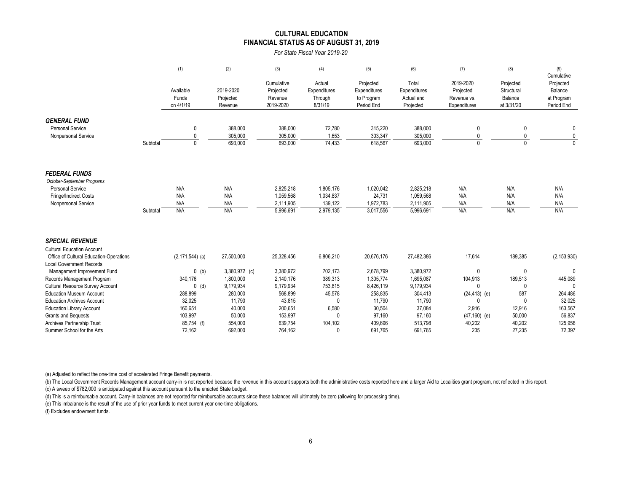#### **CULTURAL EDUCATION FINANCIAL STATUS AS OF AUGUST 31, 2019**

*For State Fiscal Year 2019-20*

|                                                                                                                                                                                                                                        |          | (1)                                                                        | (2)                                                                      | (3)                                                                        | (4)                                                                        | (5)                                                                      | (6)                                                                      | (7)                                                                                      | (8)                                                              | (9)                                                                     |
|----------------------------------------------------------------------------------------------------------------------------------------------------------------------------------------------------------------------------------------|----------|----------------------------------------------------------------------------|--------------------------------------------------------------------------|----------------------------------------------------------------------------|----------------------------------------------------------------------------|--------------------------------------------------------------------------|--------------------------------------------------------------------------|------------------------------------------------------------------------------------------|------------------------------------------------------------------|-------------------------------------------------------------------------|
|                                                                                                                                                                                                                                        |          | Available<br>Funds<br>on 4/1/19                                            | 2019-2020<br>Projected<br>Revenue                                        | Cumulative<br>Projected<br>Revenue<br>2019-2020                            | Actual<br>Expenditures<br>Through<br>8/31/19                               | Projected<br>Expenditures<br>to Program<br>Period End                    | Total<br>Expenditures<br>Actual and<br>Projected                         | 2019-2020<br>Projected<br>Revenue vs.<br>Expenditures                                    | Projected<br>Structural<br>Balance<br>at 3/31/20                 | Cumulative<br>Projected<br>Balance<br>at Program<br>Period End          |
| <b>GENERAL FUND</b><br><b>Personal Service</b><br>Nonpersonal Service                                                                                                                                                                  | Subtotal | 0<br>$\mathbf{0}$<br>$\Omega$                                              | 388,000<br>305,000<br>693,000                                            | 388,000<br>305,000<br>693,000                                              | 72,780<br>1,653<br>74,433                                                  | 315,220<br>303,347<br>618,567                                            | 388,000<br>305,000<br>693,000                                            | 0<br>0<br>$\Omega$                                                                       | 0<br>0<br>$\Omega$                                               | 0<br>$\mathbf 0$<br>$\Omega$                                            |
| <b>FEDERAL FUNDS</b><br>October-September Programs<br><b>Personal Service</b><br>Fringe/Indirect Costs<br>Nonpersonal Service                                                                                                          | Subtotal | N/A<br>N/A<br>N/A<br>N/A                                                   | N/A<br>N/A<br>N/A<br>N/A                                                 | 2,825,218<br>1,059,568<br>2,111,905<br>5,996,691                           | 1,805,176<br>1,034,837<br>139,122<br>2,979,135                             | 1,020,042<br>24,731<br>1,972,783<br>3,017,556                            | 2,825,218<br>1,059,568<br>2,111,905<br>5,996,691                         | N/A<br>N/A<br>N/A<br>N/A                                                                 | N/A<br>N/A<br>N/A<br>N/A                                         | N/A<br>N/A<br>N/A<br>N/A                                                |
| <b>SPECIAL REVENUE</b><br><b>Cultural Education Account</b><br>Office of Cultural Education-Operations<br><b>Local Government Records</b><br>Management Improvement Fund<br>Records Management Program                                 |          | $(2, 171, 544)$ (a)<br>$0$ (b)<br>340,176                                  | 27,500,000<br>3,380,972 (c)<br>1,800,000                                 | 25,328,456<br>3,380,972<br>2,140,176                                       | 6,806,210<br>702,173<br>389,313                                            | 20,676,176<br>2,678,799<br>1,305,774                                     | 27,482,386<br>3,380,972<br>1,695,087                                     | 17,614<br>0<br>104,913                                                                   | 189,385<br>$\mathbf 0$<br>189,513                                | (2, 153, 930)<br>$\Omega$<br>445,089                                    |
| Cultural Resource Survey Account<br><b>Education Museum Account</b><br><b>Education Archives Account</b><br><b>Education Library Account</b><br><b>Grants and Bequests</b><br>Archives Partnership Trust<br>Summer School for the Arts |          | $0$ (d)<br>288,899<br>32,025<br>160,651<br>103,997<br>85,754 (f)<br>72,162 | 9,179,934<br>280,000<br>11,790<br>40,000<br>50,000<br>554,000<br>692,000 | 9,179,934<br>568,899<br>43,815<br>200,651<br>153,997<br>639,754<br>764,162 | 753,815<br>45,578<br>$\mathbf{0}$<br>6,580<br>$\mathbf{0}$<br>104,102<br>0 | 8,426,119<br>258,835<br>11,790<br>30,504<br>97,160<br>409,696<br>691,765 | 9,179,934<br>304,413<br>11,790<br>37,084<br>97,160<br>513,798<br>691,765 | $\mathbf{0}$<br>$(24, 413)$ (e)<br>$\Omega$<br>2,916<br>$(47, 160)$ (e)<br>40,202<br>235 | 0<br>587<br>$\mathbf{0}$<br>12,916<br>50,000<br>40,202<br>27,235 | $\Omega$<br>264,486<br>32,025<br>163,567<br>56,837<br>125,956<br>72,397 |

(a) Adjusted to reflect the one-time cost of accelerated Fringe Benefit payments.

(b) The Local Government Records Management account carry-in is not reported because the revenue in this account supports both the administrative costs reported here and a larger Aid to Localities grant program, not reflec (c) A sweep of \$782,000 is anticipated against this account pursuant to the enacted State budget.

(d) This is a reimbursable account. Carry-in balances are not reported for reimbursable accounts since these balances will ultimately be zero (allowing for processing time).

(e) This imbalance is the result of the use of prior year funds to meet current year one-time obligations.

(f) Excludes endowment funds.